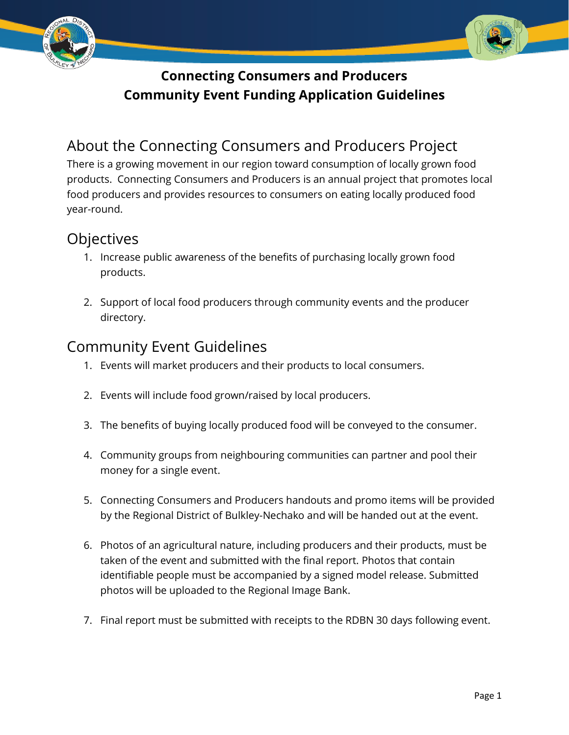



## **Connecting Consumers and Producers Community Event Funding Application Guidelines**

# About the Connecting Consumers and Producers Project

There is a growing movement in our region toward consumption of locally grown food products. Connecting Consumers and Producers is an annual project that promotes local food producers and provides resources to consumers on eating locally produced food year-round.

#### **Objectives**

- 1. Increase public awareness of the benefits of purchasing locally grown food products.
- 2. Support of local food producers through community events and the producer directory.

## Community Event Guidelines

- 1. Events will market producers and their products to local consumers.
- 2. Events will include food grown/raised by local producers.
- 3. The benefits of buying locally produced food will be conveyed to the consumer.
- 4. Community groups from neighbouring communities can partner and pool their money for a single event.
- 5. Connecting Consumers and Producers handouts and promo items will be provided by the Regional District of Bulkley-Nechako and will be handed out at the event.
- 6. Photos of an agricultural nature, including producers and their products, must be taken of the event and submitted with the final report. Photos that contain identifiable people must be accompanied by a signed model release. Submitted photos will be uploaded to the Regional Image Bank.
- 7. Final report must be submitted with receipts to the RDBN 30 days following event.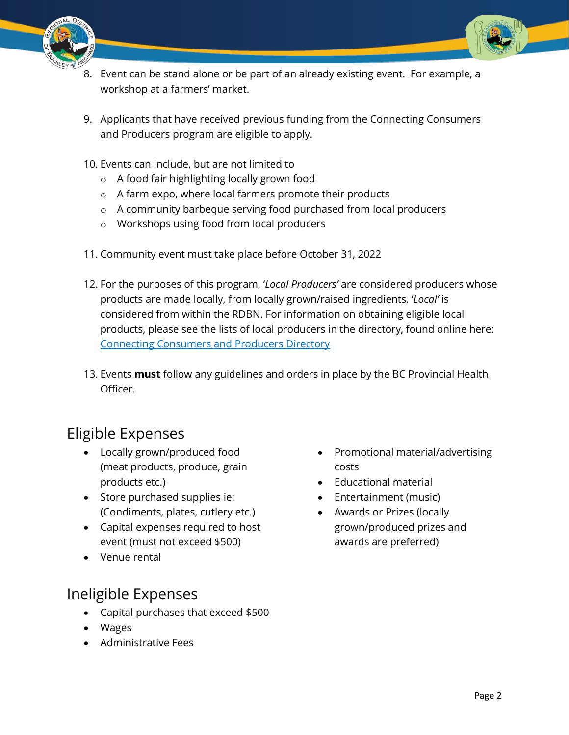



- 8. Event can be stand alone or be part of an already existing event. For example, a workshop at a farmers' market.
- 9. Applicants that have received previous funding from the Connecting Consumers and Producers program are eligible to apply.
- 10. Events can include, but are not limited to
	- o A food fair highlighting locally grown food
	- o A farm expo, where local farmers promote their products
	- o A community barbeque serving food purchased from local producers
	- o Workshops using food from local producers
- 11. Community event must take place before October 31, 2022
- 12. For the purposes of this program, '*Local Producers'* are considered producers whose products are made locally, from locally grown/raised ingredients. '*Local'* is considered from within the RDBN. For information on obtaining eligible local products, please see the lists of local producers in the directory, found online here: [Connecting Consumers and Producers Directory](https://ccap.rdbn.bc.ca/)
- 13. Events **must** follow any guidelines and orders in place by the BC Provincial Health Officer.

## Eligible Expenses

- Locally grown/produced food (meat products, produce, grain products etc.)
- Store purchased supplies ie: (Condiments, plates, cutlery etc.)
- Capital expenses required to host event (must not exceed \$500)
- Venue rental

## Ineligible Expenses

- Capital purchases that exceed \$500
- Wages
- Administrative Fees
- Promotional material/advertising costs
- Educational material
- Entertainment (music)
- Awards or Prizes (locally grown/produced prizes and awards are preferred)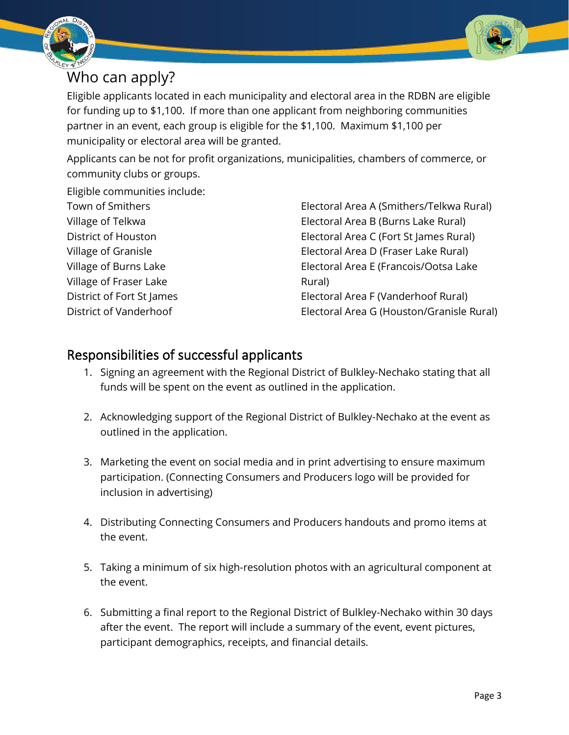



Eligible applicants located in each municipality and electoral area in the RDBN are eligible for funding up to \$1,100. If more than one applicant from neighboring communities partner in an event, each group is eligible for the \$1,100. Maximum \$1,100 per municipality or electoral area will be granted.

Applicants can be not for profit organizations, municipalities, chambers of commerce, or community clubs or groups.

Eligible communities include:

| Town of Smithers          |  |
|---------------------------|--|
| Village of Telkwa         |  |
| District of Houston       |  |
| Village of Granisle       |  |
| Village of Burns Lake     |  |
| Village of Fraser Lake    |  |
| District of Fort St James |  |
| District of Vanderhoof    |  |

Electoral Area A (Smithers/Telkwa Rural) Electoral Area B (Burns Lake Rural) Electoral Area C (Fort St James Rural) Electoral Area D (Fraser Lake Rural) Electoral Area E (Francois/Ootsa Lake Rural) Electoral Area F (Vanderhoof Rural) Electoral Area G (Houston/Granisle Rural)

#### Responsibilities of successful applicants

- 1. Signing an agreement with the Regional District of Bulkley-Nechako stating that all funds will be spent on the event as outlined in the application.
- 2. Acknowledging support of the Regional District of Bulkley-Nechako at the event as outlined in the application.
- 3. Marketing the event on social media and in print advertising to ensure maximum participation. (Connecting Consumers and Producers logo will be provided for inclusion in advertising)
- 4. Distributing Connecting Consumers and Producers handouts and promo items at the event.
- 5. Taking a minimum of six high-resolution photos with an agricultural component at the event.
- 6. Submitting a final report to the Regional District of Bulkley-Nechako within 30 days after the event. The report will include a summary of the event, event pictures, participant demographics, receipts, and financial details.